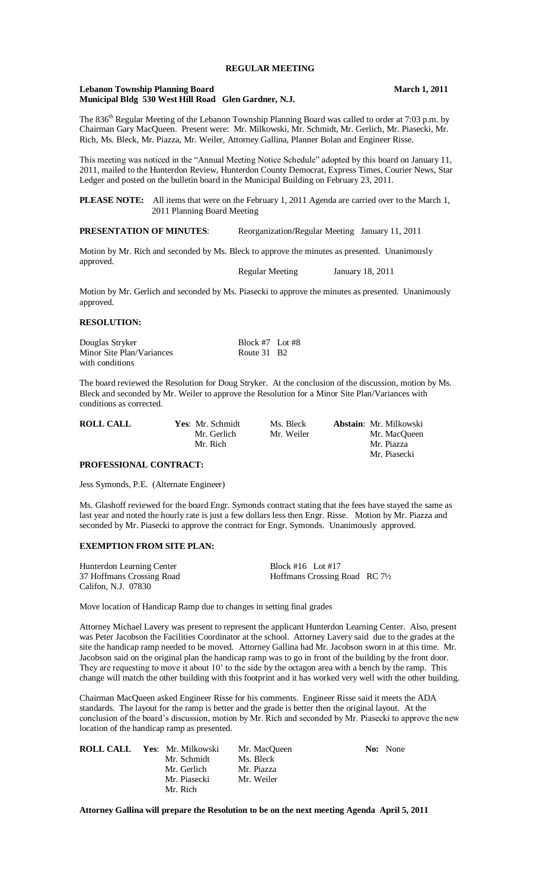#### **Lebanon Township Planning Board March 1, 2011 Municipal Bldg 530 West Hill Road Glen Gardner, N.J.**

The 836<sup>th</sup> Regular Meeting of the Lebanon Township Planning Board was called to order at 7:03 p.m. by Chairman Gary MacQueen. Present were: Mr. Milkowski, Mr. Schmidt, Mr. Gerlich, Mr. Piasecki, Mr. Rich, Ms. Bleck, Mr. Piazza, Mr. Weiler, Attorney Gallina, Planner Bolan and Engineer Risse.

This meeting was noticed in the "Annual Meeting Notice Schedule" adopted by this board on January 11, 2011, mailed to the Hunterdon Review, Hunterdon County Democrat, Express Times, Courier News, Star Ledger and posted on the bulletin board in the Municipal Building on February 23, 2011.

**PLEASE NOTE:** All items that were on the February 1, 2011 Agenda are carried over to the March 1, 2011 Planning Board Meeting

**PRESENTATION OF MINUTES**: Reorganization**/**Regular Meeting January 11, 2011

Motion by Mr. Rich and seconded by Ms. Bleck to approve the minutes as presented. Unanimously approved. Regular Meeting January 18, 2011

Motion by Mr. Gerlich and seconded by Ms. Piasecki to approve the minutes as presented. Unanimously approved.

# **RESOLUTION:**

| Douglas Stryker           | Block #7 Lot #8         |  |
|---------------------------|-------------------------|--|
| Minor Site Plan/Variances | Route 31 B <sub>2</sub> |  |
| with conditions.          |                         |  |

The board reviewed the Resolution for Doug Stryker. At the conclusion of the discussion, motion by Ms. Bleck and seconded by Mr. Weiler to approve the Resolution for a Minor Site Plan/Variances with conditions as corrected.

| <b>ROLL CALL</b> | <b>Yes:</b> Mr. Schmidt | Ms. Bleck  | <b>Abstain:</b> Mr. Milkowski |
|------------------|-------------------------|------------|-------------------------------|
|                  | Mr. Gerlich             | Mr. Weiler | Mr. MacOueen                  |
|                  | Mr. Rich                |            | Mr. Piazza                    |
|                  |                         |            | Mr. Piasecki                  |

## **PROFESSIONAL CONTRACT:**

Jess Symonds, P.E. (Alternate Engineer)

Ms. Glashoff reviewed for the board Engr. Symonds contract stating that the fees have stayed the same as last year and noted the hourly rate is just a few dollars less then Engr. Risse. Motion by Mr. Piazza and seconded by Mr. Piasecki to approve the contract for Engr. Symonds. Unanimously approved.

## **EXEMPTION FROM SITE PLAN:**

Hunterdon Learning Center Block #16 Lot #17<br>37 Hoffmans Crossing Road Hoffmans Crossing I Califon, N.J. 07830

37 Hoffmans Crossing Road Hoffmans Crossing Road RC 7½

Move location of Handicap Ramp due to changes in setting final grades

Attorney Michael Lavery was present to represent the applicant Hunterdon Learning Center. Also, present was Peter Jacobson the Facilities Coordinator at the school. Attorney Lavery said due to the grades at the site the handicap ramp needed to be moved. Attorney Gallina had Mr. Jacobson sworn in at this time. Mr. Jacobson said on the original plan the handicap ramp was to go in front of the building by the front door. They are requesting to move it about 10' to the side by the octagon area with a bench by the ramp. This change will match the other building with this footprint and it has worked very well with the other building.

Chairman MacQueen asked Engineer Risse for his comments. Engineer Risse said it meets the ADA standards. The layout for the ramp is better and the grade is better then the original layout. At the conclusion of the board's discussion, motion by Mr. Rich and seconded by Mr. Piasecki to approve the new location of the handicap ramp as presented.

| <b>ROLL CALL Yes: Mr. Milkowski</b> | Mr. MacOueen | <b>No:</b> None |
|-------------------------------------|--------------|-----------------|
| Mr. Schmidt                         | Ms. Bleck    |                 |
| Mr. Gerlich                         | Mr. Piazza   |                 |
| Mr. Piasecki                        | Mr. Weiler   |                 |
| Mr. Rich                            |              |                 |

**Attorney Gallina will prepare the Resolution to be on the next meeting Agenda April 5, 2011**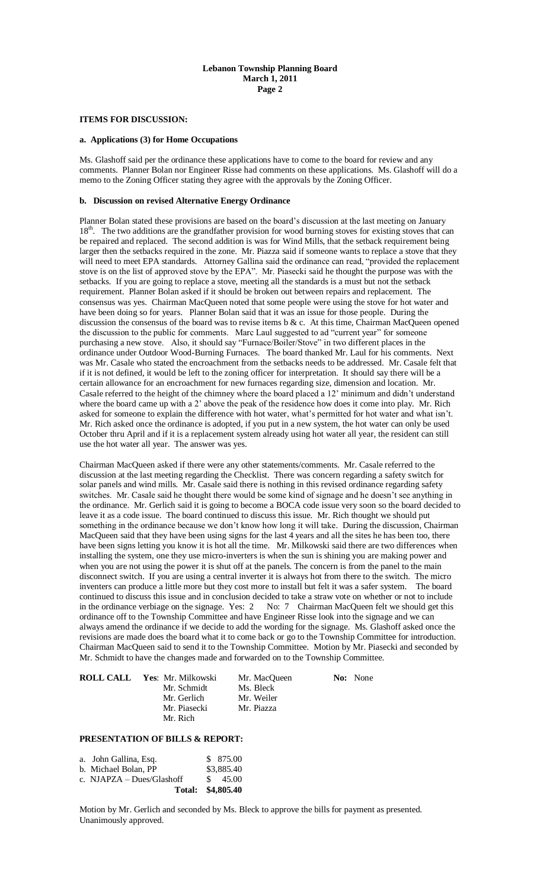### **Lebanon Township Planning Board March 1, 2011 Page 2**

### **ITEMS FOR DISCUSSION:**

## **a. Applications (3) for Home Occupations**

Ms. Glashoff said per the ordinance these applications have to come to the board for review and any comments. Planner Bolan nor Engineer Risse had comments on these applications. Ms. Glashoff will do a memo to the Zoning Officer stating they agree with the approvals by the Zoning Officer.

#### **b. Discussion on revised Alternative Energy Ordinance**

Planner Bolan stated these provisions are based on the board's discussion at the last meeting on January 18<sup>th</sup>. The two additions are the grandfather provision for wood burning stoves for existing stoves that can be repaired and replaced. The second addition is was for Wind Mills, that the setback requirement being larger then the setbacks required in the zone. Mr. Piazza said if someone wants to replace a stove that they will need to meet EPA standards. Attorney Gallina said the ordinance can read, "provided the replacement" stove is on the list of approved stove by the EPA". Mr. Piasecki said he thought the purpose was with the setbacks. If you are going to replace a stove, meeting all the standards is a must but not the setback requirement. Planner Bolan asked if it should be broken out between repairs and replacement. The consensus was yes. Chairman MacQueen noted that some people were using the stove for hot water and have been doing so for years. Planner Bolan said that it was an issue for those people. During the discussion the consensus of the board was to revise items b & c. At this time, Chairman MacQueen opened the discussion to the public for comments. Marc Laul suggested to ad "current year" for someone purchasing a new stove. Also, it should say "Furnace/Boiler/Stove" in two different places in the ordinance under Outdoor Wood-Burning Furnaces. The board thanked Mr. Laul for his comments. Next was Mr. Casale who stated the encroachment from the setbacks needs to be addressed. Mr. Casale felt that if it is not defined, it would be left to the zoning officer for interpretation. It should say there will be a certain allowance for an encroachment for new furnaces regarding size, dimension and location. Mr. Casale referred to the height of the chimney where the board placed a 12' minimum and didn't understand where the board came up with a 2' above the peak of the residence how does it come into play. Mr. Rich asked for someone to explain the difference with hot water, what's permitted for hot water and what isn't. Mr. Rich asked once the ordinance is adopted, if you put in a new system, the hot water can only be used October thru April and if it is a replacement system already using hot water all year, the resident can still use the hot water all year. The answer was yes.

Chairman MacQueen asked if there were any other statements/comments. Mr. Casale referred to the discussion at the last meeting regarding the Checklist. There was concern regarding a safety switch for solar panels and wind mills. Mr. Casale said there is nothing in this revised ordinance regarding safety switches. Mr. Casale said he thought there would be some kind of signage and he doesn't see anything in the ordinance. Mr. Gerlich said it is going to become a BOCA code issue very soon so the board decided to leave it as a code issue. The board continued to discuss this issue. Mr. Rich thought we should put something in the ordinance because we don't know how long it will take. During the discussion, Chairman MacQueen said that they have been using signs for the last 4 years and all the sites he has been too, there have been signs letting you know it is hot all the time. Mr. Milkowski said there are two differences when installing the system, one they use micro-inverters is when the sun is shining you are making power and when you are not using the power it is shut off at the panels. The concern is from the panel to the main disconnect switch. If you are using a central inverter it is always hot from there to the switch. The micro inventers can produce a little more but they cost more to install but felt it was a safer system. The board continued to discuss this issue and in conclusion decided to take a straw vote on whether or not to include in the ordinance verbiage on the signage. Yes: 2 No: 7 Chairman MacQueen felt we should get this ordinance off to the Township Committee and have Engineer Risse look into the signage and we can always amend the ordinance if we decide to add the wording for the signage. Ms. Glashoff asked once the revisions are made does the board what it to come back or go to the Township Committee for introduction. Chairman MacQueen said to send it to the Township Committee. Motion by Mr. Piasecki and seconded by Mr. Schmidt to have the changes made and forwarded on to the Township Committee.

| <b>ROLL CALL Yes: Mr. Milkowski</b> | Mr. MacOueen | No: None |
|-------------------------------------|--------------|----------|
| Mr. Schmidt                         | Ms. Bleck    |          |
| Mr. Gerlich                         | Mr. Weiler   |          |
| Mr. Piasecki                        | Mr. Piazza   |          |
| Mr. Rich                            |              |          |

# **PRESENTATION OF BILLS & REPORT:**

| a. John Gallina, Esq.       | \$ 875.00          |
|-----------------------------|--------------------|
| b. Michael Bolan, PP        | \$3,885.40         |
| c. $NIAPZA - Dues/Glashoff$ | $\frac{\$}{45.00}$ |
| Total: \$4,805.40           |                    |

Motion by Mr. Gerlich and seconded by Ms. Bleck to approve the bills for payment as presented. Unanimously approved.